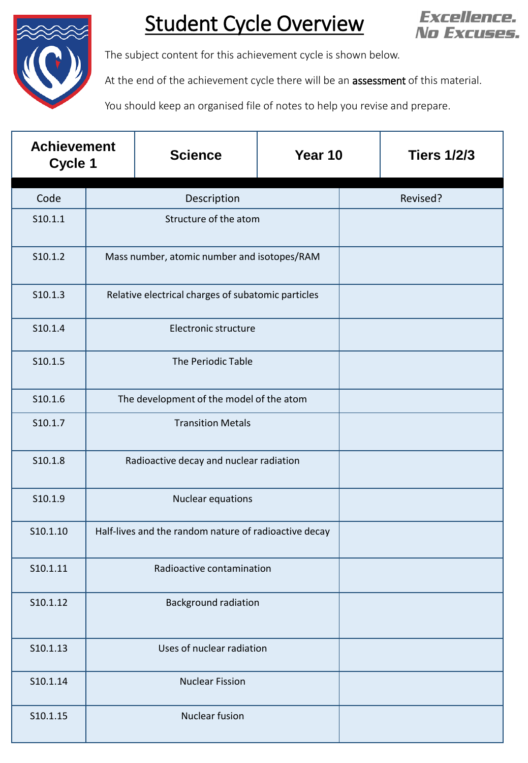

## Student Cycle Overview



The subject content for this achievement cycle is shown below.

At the end of the achievement cycle there will be an **assessment** of this material.

You should keep an organised file of notes to help you revise and prepare.

| <b>Achievement</b><br>Cycle 1 |                                                       | <b>Science</b> | Year 10 | <b>Tiers 1/2/3</b> |
|-------------------------------|-------------------------------------------------------|----------------|---------|--------------------|
| Code                          | Description                                           |                |         | Revised?           |
| S10.1.1                       | Structure of the atom                                 |                |         |                    |
| S10.1.2                       | Mass number, atomic number and isotopes/RAM           |                |         |                    |
| S10.1.3                       | Relative electrical charges of subatomic particles    |                |         |                    |
| S10.1.4                       | Electronic structure                                  |                |         |                    |
| S10.1.5                       | The Periodic Table                                    |                |         |                    |
| S10.1.6                       | The development of the model of the atom              |                |         |                    |
| S10.1.7                       | <b>Transition Metals</b>                              |                |         |                    |
| S10.1.8                       | Radioactive decay and nuclear radiation               |                |         |                    |
| S10.1.9                       | <b>Nuclear equations</b>                              |                |         |                    |
| S10.1.10                      | Half-lives and the random nature of radioactive decay |                |         |                    |
| S10.1.11                      | Radioactive contamination                             |                |         |                    |
| S10.1.12                      | <b>Background radiation</b>                           |                |         |                    |
| S10.1.13                      | Uses of nuclear radiation                             |                |         |                    |
| S10.1.14                      | <b>Nuclear Fission</b>                                |                |         |                    |
| S10.1.15                      | Nuclear fusion                                        |                |         |                    |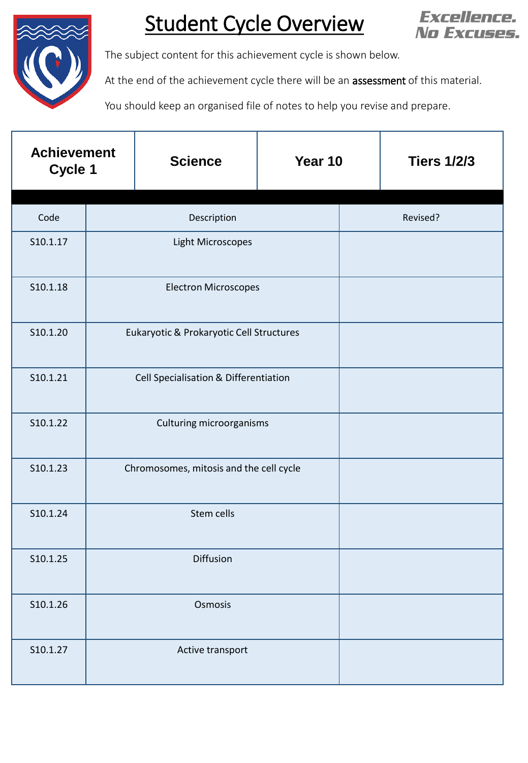

## Student Cycle Overview



The subject content for this achievement cycle is shown below.

At the end of the achievement cycle there will be an **assessment** of this material.

You should keep an organised file of notes to help you revise and prepare.

| <b>Achievement</b><br>Cycle 1 |                                          | <b>Science</b> | Year 10 |          | <b>Tiers 1/2/3</b> |  |
|-------------------------------|------------------------------------------|----------------|---------|----------|--------------------|--|
| Code                          | Description                              |                |         | Revised? |                    |  |
| S10.1.17                      | <b>Light Microscopes</b>                 |                |         |          |                    |  |
| S10.1.18                      | <b>Electron Microscopes</b>              |                |         |          |                    |  |
| S10.1.20                      | Eukaryotic & Prokaryotic Cell Structures |                |         |          |                    |  |
| S10.1.21                      | Cell Specialisation & Differentiation    |                |         |          |                    |  |
| S10.1.22                      | Culturing microorganisms                 |                |         |          |                    |  |
| S10.1.23                      | Chromosomes, mitosis and the cell cycle  |                |         |          |                    |  |
| S10.1.24                      | Stem cells                               |                |         |          |                    |  |
| S10.1.25                      | Diffusion                                |                |         |          |                    |  |
| S10.1.26                      | Osmosis                                  |                |         |          |                    |  |
| S10.1.27                      | Active transport                         |                |         |          |                    |  |